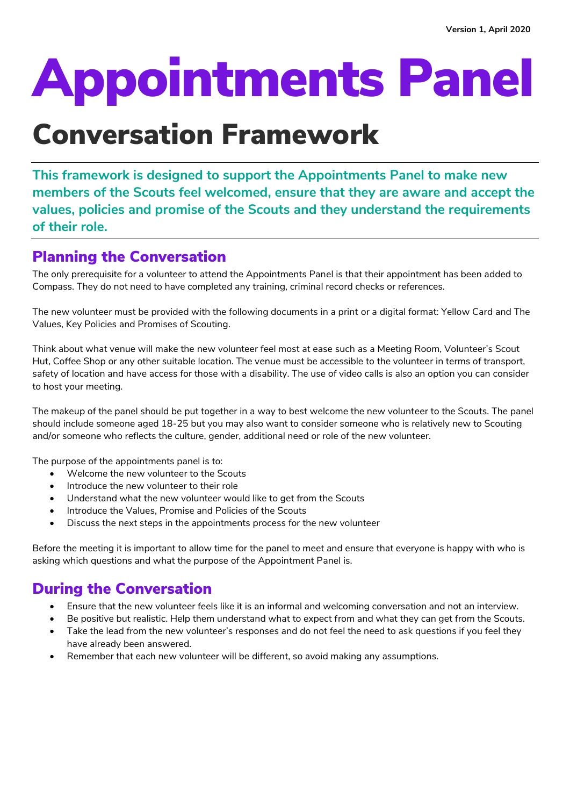# Appointments Panel

## Conversation Framework

**This framework is designed to support the Appointments Panel to make new members of the Scouts feel welcomed, ensure that they are aware and accept the values, policies and promise of the Scouts and they understand the requirements of their role.**

## Planning the Conversation

The only prerequisite for a volunteer to attend the Appointments Panel is that their appointment has been added to Compass. They do not need to have completed any training, criminal record checks or references.

The new volunteer must be provided with the following documents in a print or a digital format: Yellow Card and The Values, Key Policies and Promises of Scouting.

Think about what venue will make the new volunteer feel most at ease such as a Meeting Room, Volunteer's Scout Hut, Coffee Shop or any other suitable location. The venue must be accessible to the volunteer in terms of transport, safety of location and have access for those with a disability. The use of video calls is also an option you can consider to host your meeting.

The makeup of the panel should be put together in a way to best welcome the new volunteer to the Scouts. The panel should include someone aged 18-25 but you may also want to consider someone who is relatively new to Scouting and/or someone who reflects the culture, gender, additional need or role of the new volunteer.

The purpose of the appointments panel is to:

- Welcome the new volunteer to the Scouts
- Introduce the new volunteer to their role
- Understand what the new volunteer would like to get from the Scouts
- Introduce the Values, Promise and Policies of the Scouts
- Discuss the next steps in the appointments process for the new volunteer

Before the meeting it is important to allow time for the panel to meet and ensure that everyone is happy with who is asking which questions and what the purpose of the Appointment Panel is.

## During the Conversation

- Ensure that the new volunteer feels like it is an informal and welcoming conversation and not an interview.
- Be positive but realistic. Help them understand what to expect from and what they can get from the Scouts.
- Take the lead from the new volunteer's responses and do not feel the need to ask questions if you feel they have already been answered.
- Remember that each new volunteer will be different, so avoid making any assumptions.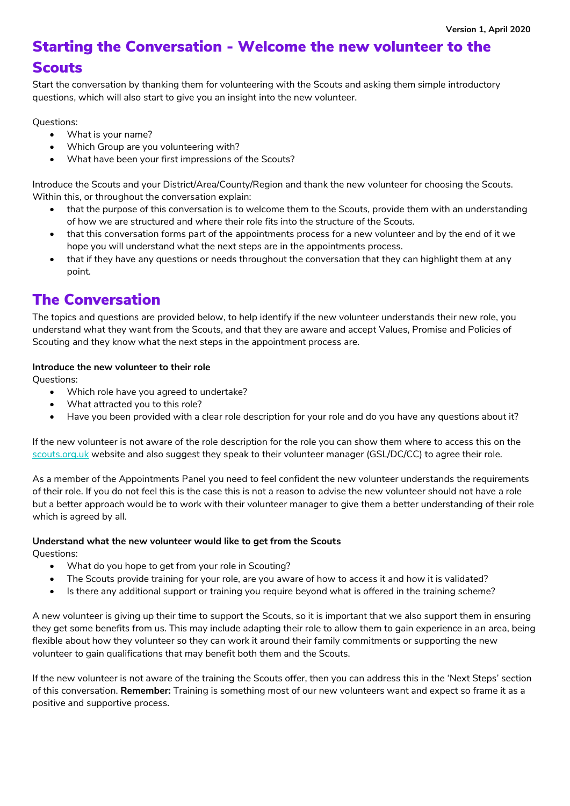## Starting the Conversation - Welcome the new volunteer to the **Scouts**

Start the conversation by thanking them for volunteering with the Scouts and asking them simple introductory questions, which will also start to give you an insight into the new volunteer.

Questions:

- What is your name?
- Which Group are you volunteering with?
- What have been your first impressions of the Scouts?

Introduce the Scouts and your District/Area/County/Region and thank the new volunteer for choosing the Scouts. Within this, or throughout the conversation explain:

- that the purpose of this conversation is to welcome them to the Scouts, provide them with an understanding of how we are structured and where their role fits into the structure of the Scouts.
- that this conversation forms part of the appointments process for a new volunteer and by the end of it we hope you will understand what the next steps are in the appointments process.
- that if they have any questions or needs throughout the conversation that they can highlight them at any point.

### The Conversation

The topics and questions are provided below, to help identify if the new volunteer understands their new role, you understand what they want from the Scouts, and that they are aware and accept Values, Promise and Policies of Scouting and they know what the next steps in the appointment process are.

#### **Introduce the new volunteer to their role**

Questions:

- Which role have you agreed to undertake?
- What attracted you to this role?
- Have you been provided with a clear role description for your role and do you have any questions about it?

If the new volunteer is not aware of the role description for the role you can show them where to access this on the [scouts.org.uk](http://www.scouts.org.uk/) website and also suggest they speak to their volunteer manager (GSL/DC/CC) to agree their role.

As a member of the Appointments Panel you need to feel confident the new volunteer understands the requirements of their role. If you do not feel this is the case this is not a reason to advise the new volunteer should not have a role but a better approach would be to work with their volunteer manager to give them a better understanding of their role which is agreed by all.

#### **Understand what the new volunteer would like to get from the Scouts**

Questions:

- What do you hope to get from your role in Scouting?
- The Scouts provide training for your role, are you aware of how to access it and how it is validated?
- Is there any additional support or training you require beyond what is offered in the training scheme?

A new volunteer is giving up their time to support the Scouts, so it is important that we also support them in ensuring they get some benefits from us. This may include adapting their role to allow them to gain experience in an area, being flexible about how they volunteer so they can work it around their family commitments or supporting the new volunteer to gain qualifications that may benefit both them and the Scouts.

If the new volunteer is not aware of the training the Scouts offer, then you can address this in the 'Next Steps' section of this conversation. **Remember:** Training is something most of our new volunteers want and expect so frame it as a positive and supportive process.